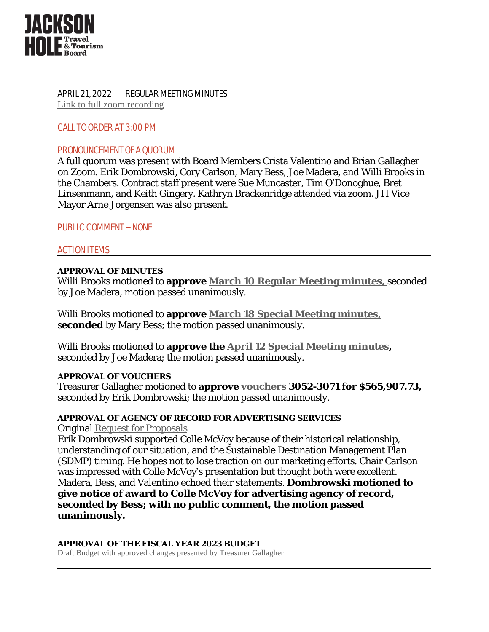

APRIL 21, 2022 REGULAR MEETING MINUTES [Link to full zoom recording](https://zoom.us/rec/play/uDQ7vECK14L7f4ji2ZmM1nY5hR37RYYYNjxHYsaFcqJTaP4BA4YOJEZCzN7H3_BvqDi9-Dy7unVu1ItH.h8bAnkLgAuqb9AcG?autoplay=true)

CALL TO ORDER AT 3:00 PM

## PRONOUNCEMENT OF A QUORUM

A full quorum was present with Board Members Crista Valentino and Brian Gallagher on Zoom. Erik Dombrowski, Cory Carlson, Mary Bess, Joe Madera, and Willi Brooks in the Chambers. Contract staff present were Sue Muncaster, Tim O'Donoghue, Bret Linsenmann, and Keith Gingery. Kathryn Brackenridge attended via zoom. JH Vice Mayor Arne Jorgensen was also present.

PUBLIC COMMENT – NONE

## ACTION ITEMS

#### **APPROVAL OF MINUTES**

Willi Brooks motioned to **approve [March 10 Regular Meeting minutes,](https://www.tetoncountywy.gov/DocumentCenter/View/21890/March10-2022-Regular-Meeting-MINUTESdocx-2)** [seconded](https://www.tetoncountywy.gov/DocumentCenter/View/21890/March10-2022-Regular-Meeting-MINUTESdocx-2) [by Joe Madera, motion passed unanimously.](https://www.tetoncountywy.gov/DocumentCenter/View/21890/March10-2022-Regular-Meeting-MINUTESdocx-2) 

[Willi Brooks motioned to](https://www.tetoncountywy.gov/DocumentCenter/View/21890/March10-2022-Regular-Meeting-MINUTESdocx-2) **[approve](https://www.tetoncountywy.gov/DocumentCenter/View/21890/March10-2022-Regular-Meeting-MINUTESdocx-2) [March 18 Special Meeting minutes,](https://tetoncountywy.gov/DocumentCenter/View/21895/March-18-Special-Meeting-Minutes-)** [s](https://tetoncountywy.gov/DocumentCenter/View/21895/March-18-Special-Meeting-Minutes-)[econded](https://tetoncountywy.gov/DocumentCenter/View/21895/March-18-Special-Meeting-Minutes-) [by Mary Bess; the motion passed unanimously.](https://tetoncountywy.gov/DocumentCenter/View/21895/March-18-Special-Meeting-Minutes-)

[Willi Brooks motioned to](https://tetoncountywy.gov/DocumentCenter/View/21895/March-18-Special-Meeting-Minutes-) **[approve the](https://tetoncountywy.gov/DocumentCenter/View/21895/March-18-Special-Meeting-Minutes-) [April 12 Special Meeting minutes,](https://tetoncountywy.gov/DocumentCenter/View/21897/April-12-Special-Meeting-Minutes-)** seconded by Joe Madera; the motion passed unanimously.

#### **APPROVAL OF VOUCHERS**

Treasurer Gallagher motioned to **approve [vouchers](https://www.tetoncountywy.gov/DocumentCenter/View/21942/2022-04-JHTTJPB-Vouchers-3052-to-3071-Summary) 3052-3071 for \$565,907.73,**  seconded by Erik Dombrowski; the motion passed unanimously.

## **APPROVAL OF AGENCY OF RECORD FOR ADVERTISING SERVICES**

Original [Request for Proposals](https://www.tetoncountywy.gov/DocumentCenter/View/21249/RFP-Creative-Agency-Services-JHTTB-2022docx)

Erik Dombrowski supported Colle McVoy because of their historical relationship, understanding of our situation, and the Sustainable Destination Management Plan (SDMP) timing. He hopes not to lose traction on our marketing efforts. Chair Carlson was impressed with Colle McVoy's presentation but thought both were excellent. Madera, Bess, and Valentino echoed their statements. **Dombrowski motioned to give notice of award to Colle McVoy for advertising agency of record, seconded by Bess; with no public comment, the motion passed unanimously.** 

# **APPROVAL OF THE FISCAL YEAR 2023 BUDGET**

[Draft Budget with approved changes presented by Treasurer Gallagher](http://www.tetoncountywy.gov/DocumentCenter/View/22094/TTB-FY23-Budget_for-Discussion-on-042122)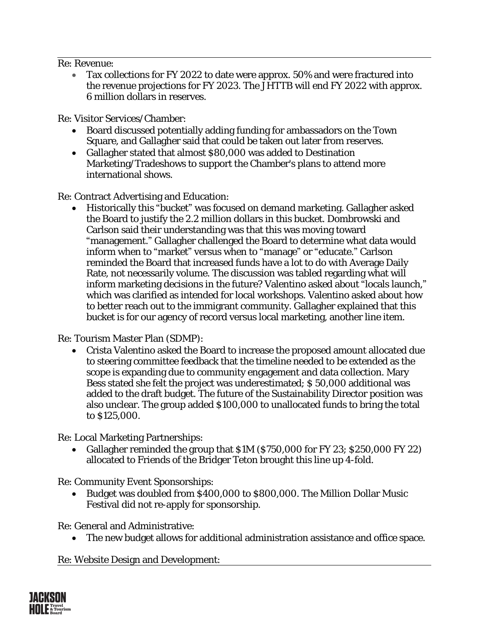Re: Revenue:

 Tax collections for FY 2022 to date were approx. 50% and were fractured into the revenue projections for FY 2023. The JHTTB will end FY 2022 with approx. 6 million dollars in reserves.

Re: Visitor Services/Chamber:

- Board discussed potentially adding funding for ambassadors on the Town Square, and Gallagher said that could be taken out later from reserves.
- Gallagher stated that almost \$80,000 was added to Destination Marketing/Tradeshows to support the Chamber's plans to attend more international shows.

Re: Contract Advertising and Education:

 Historically this "bucket" was focused on demand marketing. Gallagher asked the Board to justify the 2.2 million dollars in this bucket. Dombrowski and Carlson said their understanding was that this was moving toward "management." Gallagher challenged the Board to determine what data would inform when to "market" versus when to "manage" or "educate." Carlson reminded the Board that increased funds have a lot to do with Average Daily Rate, not necessarily volume. The discussion was tabled regarding what will inform marketing decisions in the future? Valentino asked about "locals launch," which was clarified as intended for local workshops. Valentino asked about how to better reach out to the immigrant community. Gallagher explained that this bucket is for our agency of record versus local marketing, another line item.

Re: Tourism Master Plan (SDMP):

 Crista Valentino asked the Board to increase the proposed amount allocated due to steering committee feedback that the timeline needed to be extended as the scope is expanding due to community engagement and data collection. Mary Bess stated she felt the project was underestimated; \$ 50,000 additional was added to the draft budget. The future of the Sustainability Director position was also unclear. The group added \$100,000 to unallocated funds to bring the total to \$125,000.

Re: Local Marketing Partnerships:

• Gallagher reminded the group that \$1M (\$750,000 for FY 23; \$250,000 FY 22) allocated to Friends of the Bridger Teton brought this line up 4-fold.

Re: Community Event Sponsorships:

 Budget was doubled from \$400,000 to \$800,000. The Million Dollar Music Festival did not re-apply for sponsorship.

Re: General and Administrative:

The new budget allows for additional administration assistance and office space.

Re: Website Design and Development:

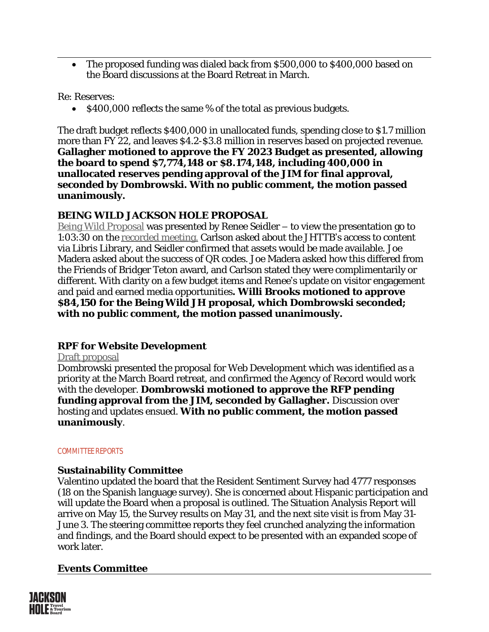The proposed funding was dialed back from \$500,000 to \$400,000 based on the Board discussions at the Board Retreat in March.

Re: Reserves:

 $\bullet$  \$400,000 reflects the same % of the total as previous budgets.

The draft budget reflects \$400,000 in unallocated funds, spending close to \$1.7 million more than FY 22, and leaves \$4.2-\$3.8 million in reserves based on projected revenue. **Gallagher motioned to approve the FY 2023 Budget as presented, allowing the board to spend \$7,774,148 or \$8.174,148, including 400,000 in unallocated reserves pending approval of the JIM for final approval, seconded by Dombrowski. With no public comment, the motion passed unanimously.**

# **BEING WILD JACKSON HOLE PROPOSAL**

[Being Wild Proposal](https://www.tetoncountywy.gov/DocumentCenter/View/21894/Being-Wild-Jackson-Hole-FY-2023) was presented by Renee Seidler – to view the presentation go to 1:03:30 on the [recorded meeting.](https://zoom.us/rec/play/uDQ7vECK14L7f4ji2ZmM1nY5hR37RYYYNjxHYsaFcqJTaP4BA4YOJEZCzN7H3_BvqDi9-Dy7unVu1ItH.h8bAnkLgAuqb9AcG?autoplay=true) Carlson asked about the JHTTB's access to content via Libris Library, and Seidler confirmed that assets would be made available. Joe Madera asked about the success of QR codes. Joe Madera asked how this differed from the Friends of Bridger Teton award, and Carlson stated they were complimentarily or different. With clarity on a few budget items and Renee's update on visitor engagement and paid and earned media opportunities**. Willi Brooks motioned to approve \$84,150 for the Being Wild JH proposal, which Dombrowski seconded; with no public comment, the motion passed unanimously.**

# **RPF for Website Development**

#### [Draft proposal](https://www.tetoncountywy.gov/AgendaCenter/4-Jackson-Hole-Lodging-Tax-13/?#_04212022-1870)

Dombrowski presented the proposal for Web Development which was identified as a priority at the March Board retreat, and confirmed the Agency of Record would work with the developer. **Dombrowski motioned to approve the RFP pending funding approval from the JIM, seconded by Gallagher.** Discussion over hosting and updates ensued. **With no public comment, the motion passed unanimously**.

#### COMMITTEE REPORTS

# **Sustainability Committee**

Valentino updated the board that the Resident Sentiment Survey had 4777 responses (18 on the Spanish language survey). She is concerned about Hispanic participation and will update the Board when a proposal is outlined. The Situation Analysis Report will arrive on May 15, the Survey results on May 31, and the next site visit is from May 31- June 3. The steering committee reports they feel crunched analyzing the information and findings, and the Board should expect to be presented with an expanded scope of work later.

# **Events Committee**

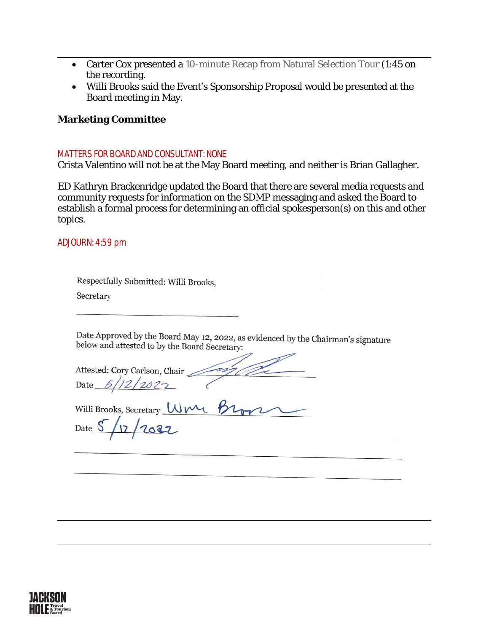- Carter Cox presented a [10-minute Recap from Natural Selection Tour](https://www.tetoncountywy.gov/DocumentCenter/View/22134/Natural-Selection-_JHTTB_Recap_42122) (1:45 on [the recording.](https://www.tetoncountywy.gov/DocumentCenter/View/22134/Natural-Selection-_JHTTB_Recap_42122)
- [Willi Brooks said the Event](https://www.tetoncountywy.gov/DocumentCenter/View/22134/Natural-Selection-_JHTTB_Recap_42122)'s Sponsorship Proposal [would be presented at the](https://www.tetoncountywy.gov/DocumentCenter/View/22134/Natural-Selection-_JHTTB_Recap_42122)  [Board meeting in May.](https://www.tetoncountywy.gov/DocumentCenter/View/22134/Natural-Selection-_JHTTB_Recap_42122)

# **[Marketing Committee](https://www.tetoncountywy.gov/DocumentCenter/View/22134/Natural-Selection-_JHTTB_Recap_42122)**

### [MATTERS FOR BOARD AND CONSULTANT: NONE](https://www.tetoncountywy.gov/DocumentCenter/View/22134/Natural-Selection-_JHTTB_Recap_42122)

[Crista Valentino will not be at the May Board meeting, and neither is Brian Gallagher.](https://www.tetoncountywy.gov/DocumentCenter/View/22134/Natural-Selection-_JHTTB_Recap_42122)

[ED Kathryn Brackenridge updated the Board that there are several media requests and](https://www.tetoncountywy.gov/DocumentCenter/View/22134/Natural-Selection-_JHTTB_Recap_42122)  [community requests for information on the SDMP messaging and asked the Board to](https://www.tetoncountywy.gov/DocumentCenter/View/22134/Natural-Selection-_JHTTB_Recap_42122)  [establish a formal process for determining an official spokesperson\(s\) on this and other](https://www.tetoncountywy.gov/DocumentCenter/View/22134/Natural-Selection-_JHTTB_Recap_42122)  [topics.](https://www.tetoncountywy.gov/DocumentCenter/View/22134/Natural-Selection-_JHTTB_Recap_42122) 

## [ADJOURN: 4:59 pm](https://www.tetoncountywy.gov/DocumentCenter/View/22134/Natural-Selection-_JHTTB_Recap_42122)

| Respectfully Submitted: Willi Brooks, |  |
|---------------------------------------|--|
|---------------------------------------|--|

Secretary

Date Approved by the Board May 12, 2022, as evidenced by the Chairman's signature below and attested to by the Board Secretary:

Attested: Cory Carlson, Chair Date  $5/12/202$ 

Willi Brooks, Secretary Um Br

Date S